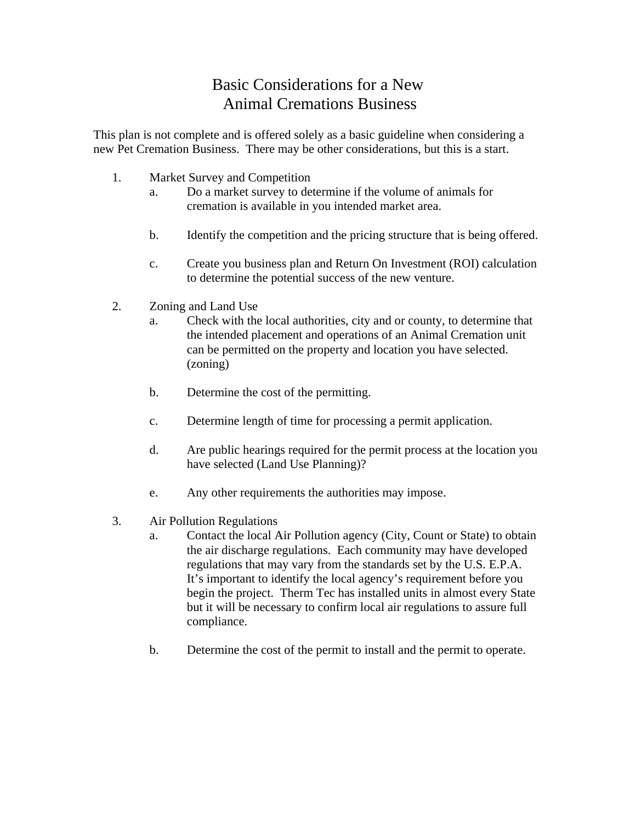## Basic Considerations for a New Animal Cremations Business

This plan is not complete and is offered solely as a basic guideline when considering a new Pet Cremation Business. There may be other considerations, but this is a start.

- 1. Market Survey and Competition
	- a. Do a market survey to determine if the volume of animals for cremation is available in you intended market area.
	- b. Identify the competition and the pricing structure that is being offered.
	- c. Create you business plan and Return On Investment (ROI) calculation to determine the potential success of the new venture.
- 2. Zoning and Land Use
	- a. Check with the local authorities, city and or county, to determine that the intended placement and operations of an Animal Cremation unit can be permitted on the property and location you have selected. (zoning)
	- b. Determine the cost of the permitting.
	- c. Determine length of time for processing a permit application.
	- d. Are public hearings required for the permit process at the location you have selected (Land Use Planning)?
	- e. Any other requirements the authorities may impose.
- 3. Air Pollution Regulations
	- a. Contact the local Air Pollution agency (City, Count or State) to obtain the air discharge regulations. Each community may have developed regulations that may vary from the standards set by the U.S. E.P.A. It's important to identify the local agency's requirement before you begin the project. Therm Tec has installed units in almost every State but it will be necessary to confirm local air regulations to assure full compliance.
	- b. Determine the cost of the permit to install and the permit to operate.